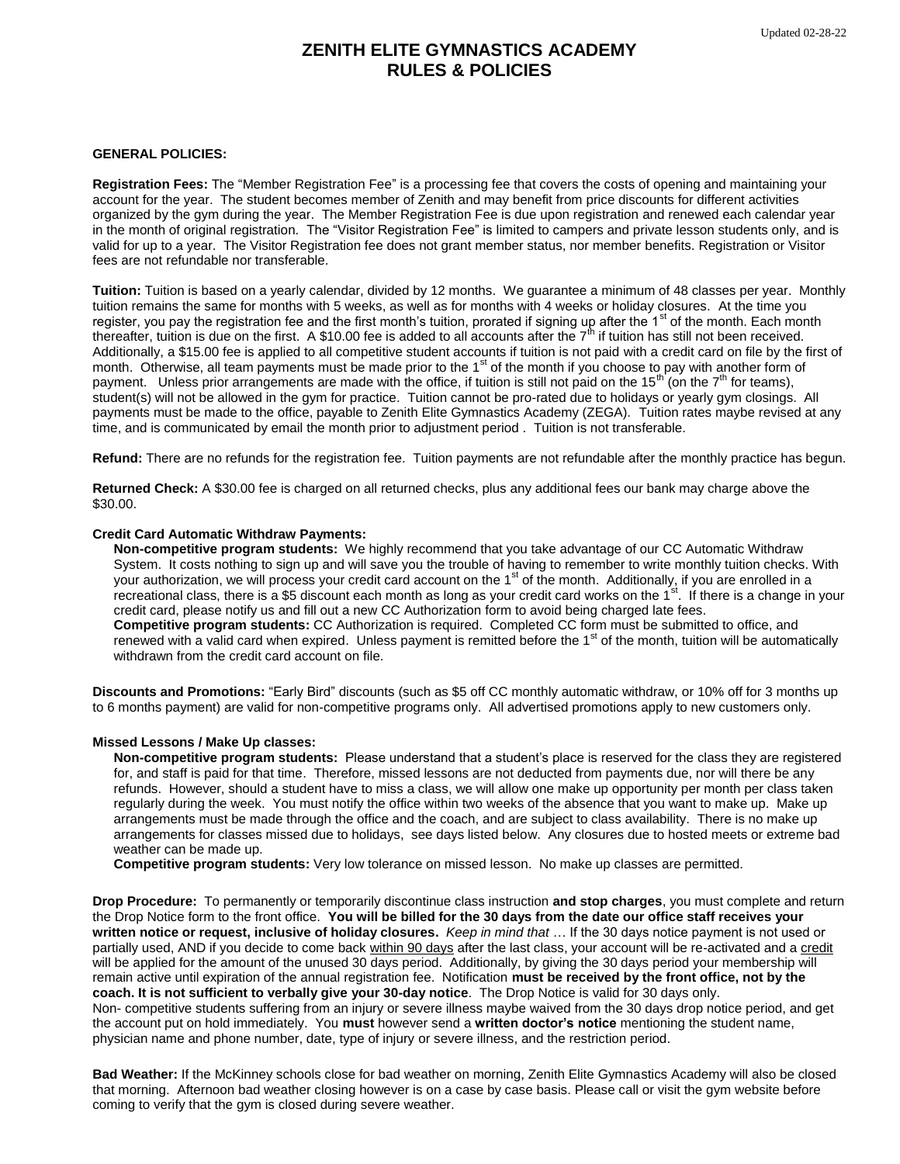# **ZENITH ELITE GYMNASTICS ACADEMY RULES & POLICIES**

## **GENERAL POLICIES:**

**Registration Fees:** The "Member Registration Fee" is a processing fee that covers the costs of opening and maintaining your account for the year. The student becomes member of Zenith and may benefit from price discounts for different activities organized by the gym during the year. The Member Registration Fee is due upon registration and renewed each calendar year in the month of original registration. The "Visitor Registration Fee" is limited to campers and private lesson students only, and is valid for up to a year. The Visitor Registration fee does not grant member status, nor member benefits. Registration or Visitor fees are not refundable nor transferable.

**Tuition:** Tuition is based on a yearly calendar, divided by 12 months. We guarantee a minimum of 48 classes per year. Monthly tuition remains the same for months with 5 weeks, as well as for months with 4 weeks or holiday closures. At the time you register, you pay the registration fee and the first month's tuition, prorated if signing up after the 1<sup>st</sup> of the month. Each month thereafter, tuition is due on the first. A \$10.00 fee is added to all accounts after the  $7<sup>th</sup>$  if tuition has still not been received. Additionally, a \$15.00 fee is applied to all competitive student accounts if tuition is not paid with a credit card on file by the first of month. Otherwise, all team payments must be made prior to the  $1<sup>st</sup>$  of the month if you choose to pay with another form of payment. Unless prior arrangements are made with the office, if tuition is still not paid on the  $15<sup>th</sup>$  (on the  $7<sup>th</sup>$  for teams), student(s) will not be allowed in the gym for practice. Tuition cannot be pro-rated due to holidays or yearly gym closings. All payments must be made to the office, payable to Zenith Elite Gymnastics Academy (ZEGA). Tuition rates maybe revised at any time, and is communicated by email the month prior to adjustment period . Tuition is not transferable.

**Refund:** There are no refunds for the registration fee. Tuition payments are not refundable after the monthly practice has begun.

**Returned Check:** A \$30.00 fee is charged on all returned checks, plus any additional fees our bank may charge above the \$30.00.

## **Credit Card Automatic Withdraw Payments:**

**Non-competitive program students:** We highly recommend that you take advantage of our CC Automatic Withdraw System. It costs nothing to sign up and will save you the trouble of having to remember to write monthly tuition checks. With your authorization, we will process your credit card account on the 1<sup>st</sup> of the month. Additionally, if you are enrolled in a recreational class, there is a \$5 discount each month as long as your credit card works on the 1<sup>st</sup>. If there is a change in your credit card, please notify us and fill out a new CC Authorization form to avoid being charged late fees. **Competitive program students:** CC Authorization is required. Completed CC form must be submitted to office, and renewed with a valid card when expired. Unless payment is remitted before the  $1<sup>st</sup>$  of the month, tuition will be automatically withdrawn from the credit card account on file.

**Discounts and Promotions:** "Early Bird" discounts (such as \$5 off CC monthly automatic withdraw, or 10% off for 3 months up to 6 months payment) are valid for non-competitive programs only. All advertised promotions apply to new customers only.

## **Missed Lessons / Make Up classes:**

**Non-competitive program students:** Please understand that a student's place is reserved for the class they are registered for, and staff is paid for that time. Therefore, missed lessons are not deducted from payments due, nor will there be any refunds. However, should a student have to miss a class, we will allow one make up opportunity per month per class taken regularly during the week. You must notify the office within two weeks of the absence that you want to make up. Make up arrangements must be made through the office and the coach, and are subject to class availability. There is no make up arrangements for classes missed due to holidays, see days listed below. Any closures due to hosted meets or extreme bad weather can be made up.

**Competitive program students:** Very low tolerance on missed lesson. No make up classes are permitted.

**Drop Procedure:** To permanently or temporarily discontinue class instruction **and stop charges**, you must complete and return the Drop Notice form to the front office. **You will be billed for the 30 days from the date our office staff receives your written notice or request, inclusive of holiday closures.** *Keep in mind that* … If the 30 days notice payment is not used or partially used, AND if you decide to come back within 90 days after the last class, your account will be re-activated and a credit will be applied for the amount of the unused 30 days period. Additionally, by giving the 30 days period your membership will remain active until expiration of the annual registration fee. Notification **must be received by the front office, not by the coach. It is not sufficient to verbally give your 30-day notice**. The Drop Notice is valid for 30 days only. Non- competitive students suffering from an injury or severe illness maybe waived from the 30 days drop notice period, and get

the account put on hold immediately. You **must** however send a **written doctor's notice** mentioning the student name, physician name and phone number, date, type of injury or severe illness, and the restriction period.

**Bad Weather:** If the McKinney schools close for bad weather on morning, Zenith Elite Gymnastics Academy will also be closed that morning. Afternoon bad weather closing however is on a case by case basis. Please call or visit the gym website before coming to verify that the gym is closed during severe weather.